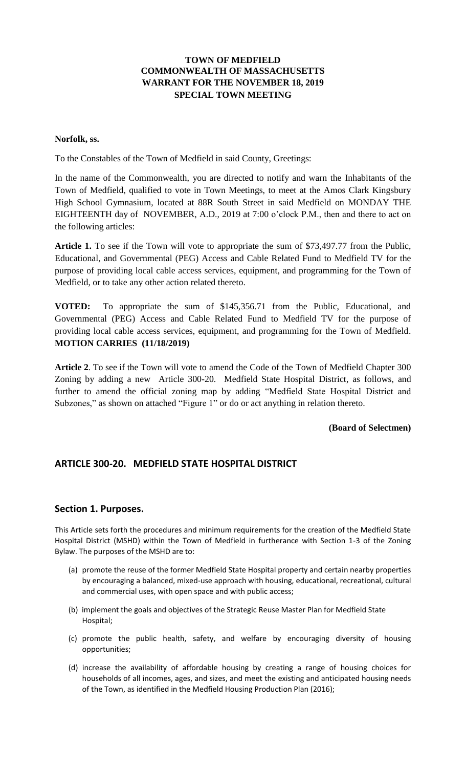# **TOWN OF MEDFIELD COMMONWEALTH OF MASSACHUSETTS WARRANT FOR THE NOVEMBER 18, 2019 SPECIAL TOWN MEETING**

#### **Norfolk, ss.**

To the Constables of the Town of Medfield in said County, Greetings:

In the name of the Commonwealth, you are directed to notify and warn the Inhabitants of the Town of Medfield, qualified to vote in Town Meetings, to meet at the Amos Clark Kingsbury High School Gymnasium, located at 88R South Street in said Medfield on MONDAY THE EIGHTEENTH day of NOVEMBER, A.D., 2019 at 7:00 o'clock P.M., then and there to act on the following articles:

**Article 1.** To see if the Town will vote to appropriate the sum of \$73,497.77 from the Public, Educational, and Governmental (PEG) Access and Cable Related Fund to Medfield TV for the purpose of providing local cable access services, equipment, and programming for the Town of Medfield, or to take any other action related thereto.

**VOTED:** To appropriate the sum of \$145,356.71 from the Public, Educational, and Governmental (PEG) Access and Cable Related Fund to Medfield TV for the purpose of providing local cable access services, equipment, and programming for the Town of Medfield. **MOTION CARRIES (11/18/2019)**

**Article 2**. To see if the Town will vote to amend the Code of the Town of Medfield Chapter 300 Zoning by adding a new Article 300-20. Medfield State Hospital District, as follows, and further to amend the official zoning map by adding "Medfield State Hospital District and Subzones," as shown on attached "Figure 1" or do or act anything in relation thereto.

### **(Board of Selectmen)**

# **ARTICLE 300-20. MEDFIELD STATE HOSPITAL DISTRICT**

### **Section 1. Purposes.**

This Article sets forth the procedures and minimum requirements for the creation of the Medfield State Hospital District (MSHD) within the Town of Medfield in furtherance with Section 1-3 of the Zoning Bylaw. The purposes of the MSHD are to:

- (a) promote the reuse of the former Medfield State Hospital property and certain nearby properties by encouraging a balanced, mixed-use approach with housing, educational, recreational, cultural and commercial uses, with open space and with public access;
- (b) implement the goals and objectives of the Strategic Reuse Master Plan for Medfield State Hospital;
- (c) promote the public health, safety, and welfare by encouraging diversity of housing opportunities;
- (d) increase the availability of affordable housing by creating a range of housing choices for households of all incomes, ages, and sizes, and meet the existing and anticipated housing needs of the Town, as identified in the Medfield Housing Production Plan (2016);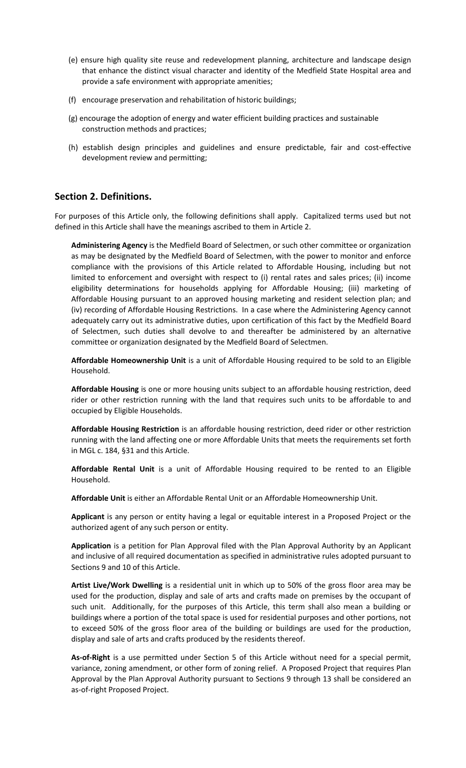- (e) ensure high quality site reuse and redevelopment planning, architecture and landscape design that enhance the distinct visual character and identity of the Medfield State Hospital area and provide a safe environment with appropriate amenities;
- (f) encourage preservation and rehabilitation of historic buildings;
- (g) encourage the adoption of energy and water efficient building practices and sustainable construction methods and practices;
- (h) establish design principles and guidelines and ensure predictable, fair and cost-effective development review and permitting;

### **Section 2. Definitions.**

For purposes of this Article only, the following definitions shall apply. Capitalized terms used but not defined in this Article shall have the meanings ascribed to them in Article 2.

**Administering Agency** is the Medfield Board of Selectmen, or such other committee or organization as may be designated by the Medfield Board of Selectmen, with the power to monitor and enforce compliance with the provisions of this Article related to Affordable Housing, including but not limited to enforcement and oversight with respect to (i) rental rates and sales prices; (ii) income eligibility determinations for households applying for Affordable Housing; (iii) marketing of Affordable Housing pursuant to an approved housing marketing and resident selection plan; and (iv) recording of Affordable Housing Restrictions. In a case where the Administering Agency cannot adequately carry out its administrative duties, upon certification of this fact by the Medfield Board of Selectmen, such duties shall devolve to and thereafter be administered by an alternative committee or organization designated by the Medfield Board of Selectmen.

**Affordable Homeownership Unit** is a unit of Affordable Housing required to be sold to an Eligible Household.

**Affordable Housing** is one or more housing units subject to an affordable housing restriction, deed rider or other restriction running with the land that requires such units to be affordable to and occupied by Eligible Households.

**Affordable Housing Restriction** is an affordable housing restriction, deed rider or other restriction running with the land affecting one or more Affordable Units that meets the requirements set forth in MGL c. 184, §31 and this Article.

**Affordable Rental Unit** is a unit of Affordable Housing required to be rented to an Eligible Household.

**Affordable Unit** is either an Affordable Rental Unit or an Affordable Homeownership Unit.

**Applicant** is any person or entity having a legal or equitable interest in a Proposed Project or the authorized agent of any such person or entity.

**Application** is a petition for Plan Approval filed with the Plan Approval Authority by an Applicant and inclusive of all required documentation as specified in administrative rules adopted pursuant to Sections 9 and 10 of this Article.

**Artist Live/Work Dwelling** is a residential unit in which up to 50% of the gross floor area may be used for the production, display and sale of arts and crafts made on premises by the occupant of such unit. Additionally, for the purposes of this Article, this term shall also mean a building or buildings where a portion of the total space is used for residential purposes and other portions, not to exceed 50% of the gross floor area of the building or buildings are used for the production, display and sale of arts and crafts produced by the residents thereof.

**As-of-Right** is a use permitted under Section 5 of this Article without need for a special permit, variance, zoning amendment, or other form of zoning relief. A Proposed Project that requires Plan Approval by the Plan Approval Authority pursuant to Sections 9 through 13 shall be considered an as-of-right Proposed Project.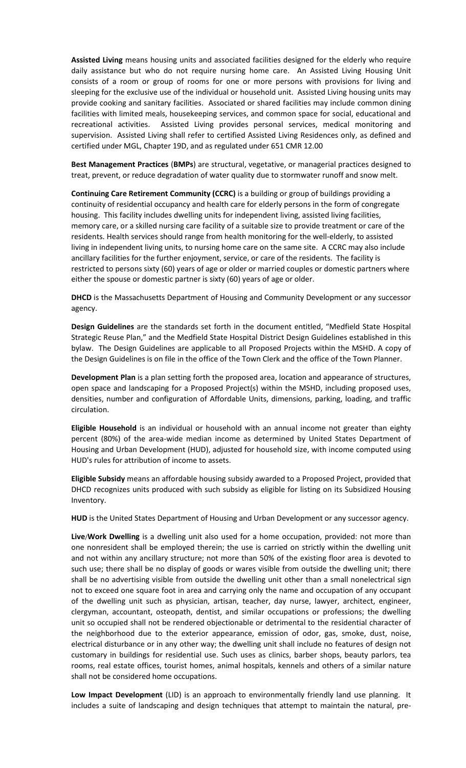**Assisted Living** means housing units and associated facilities designed for the elderly who require daily assistance but who do not require nursing home care. An Assisted Living Housing Unit consists of a room or group of rooms for one or more persons with provisions for living and sleeping for the exclusive use of the individual or household unit. Assisted Living housing units may provide cooking and sanitary facilities. Associated or shared facilities may include common dining facilities with limited meals, housekeeping services, and common space for social, educational and recreational activities. Assisted Living provides personal services, medical monitoring and supervision. Assisted Living shall refer to certified Assisted Living Residences only, as defined and certified under MGL, Chapter 19D, and as regulated under 651 CMR 12.00

**Best Management Practices** (**BMPs**) are structural, vegetative, or managerial practices designed to treat, prevent, or reduce degradation of water quality due to stormwater runoff and snow melt.

**Continuing Care Retirement Community (CCRC)** is a building or group of buildings providing a continuity of residential occupancy and health care for elderly persons in the form of congregate housing. This facility includes dwelling units for independent living, assisted living facilities, memory care, or a skilled nursing care facility of a suitable size to provide treatment or care of the residents. Health services should range from health monitoring for the well-elderly, to assisted living in independent living units, to nursing home care on the same site. A CCRC may also include ancillary facilities for the further enjoyment, service, or care of the residents. The facility is restricted to persons sixty (60) years of age or older or married couples or domestic partners where either the spouse or domestic partner is sixty (60) years of age or older.

**DHCD** is the Massachusetts Department of Housing and Community Development or any successor agency.

**Design Guidelines** are the standards set forth in the document entitled, "Medfield State Hospital Strategic Reuse Plan," and the Medfield State Hospital District Design Guidelines established in this bylaw. The Design Guidelines are applicable to all Proposed Projects within the MSHD. A copy of the Design Guidelines is on file in the office of the Town Clerk and the office of the Town Planner.

**Development Plan** is a plan setting forth the proposed area, location and appearance of structures, open space and landscaping for a Proposed Project(s) within the MSHD, including proposed uses, densities, number and configuration of Affordable Units, dimensions, parking, loading, and traffic circulation.

**Eligible Household** is an individual or household with an annual income not greater than eighty percent (80%) of the area-wide median income as determined by United States Department of Housing and Urban Development (HUD), adjusted for household size, with income computed using HUD's rules for attribution of income to assets.

**Eligible Subsidy** means an affordable housing subsidy awarded to a Proposed Project, provided that DHCD recognizes units produced with such subsidy as eligible for listing on its Subsidized Housing Inventory.

**HUD** is the United States Department of Housing and Urban Development or any successor agency.

**Live**/**Work Dwelling** is a dwelling unit also used for a home occupation, provided: not more than one nonresident shall be employed therein; the use is carried on strictly within the dwelling unit and not within any ancillary structure; not more than 50% of the existing floor area is devoted to such use; there shall be no display of goods or wares visible from outside the dwelling unit; there shall be no advertising visible from outside the dwelling unit other than a small nonelectrical sign not to exceed one square foot in area and carrying only the name and occupation of any occupant of the dwelling unit such as physician, artisan, teacher, day nurse, lawyer, architect, engineer, clergyman, accountant, osteopath, dentist, and similar occupations or professions; the dwelling unit so occupied shall not be rendered objectionable or detrimental to the residential character of the neighborhood due to the exterior appearance, emission of odor, gas, smoke, dust, noise, electrical disturbance or in any other way; the dwelling unit shall include no features of design not customary in buildings for residential use. Such uses as clinics, barber shops, beauty parlors, tea rooms, real estate offices, tourist homes, animal hospitals, kennels and others of a similar nature shall not be considered home occupations.

**Low Impact Development** (LID) is an approach to environmentally friendly land use planning. It includes a suite of landscaping and design techniques that attempt to maintain the natural, pre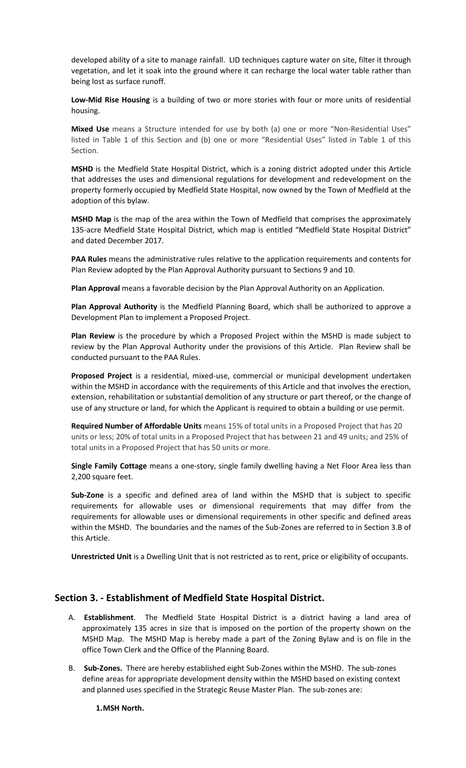developed ability of a site to manage rainfall. LID techniques capture water on site, filter it through vegetation, and let it soak into the ground where it can recharge the local water table rather than being lost as surface runoff.

**Low-Mid Rise Housing** is a building of two or more stories with four or more units of residential housing.

**Mixed Use** means a Structure intended for use by both (a) one or more "Non-Residential Uses" listed in Table 1 of this Section and (b) one or more "Residential Uses" listed in Table 1 of this Section.

**MSHD** is the Medfield State Hospital District, which is a zoning district adopted under this Article that addresses the uses and dimensional regulations for development and redevelopment on the property formerly occupied by Medfield State Hospital, now owned by the Town of Medfield at the adoption of this bylaw.

**MSHD Map** is the map of the area within the Town of Medfield that comprises the approximately 135-acre Medfield State Hospital District, which map is entitled "Medfield State Hospital District" and dated December 2017.

**PAA Rules** means the administrative rules relative to the application requirements and contents for Plan Review adopted by the Plan Approval Authority pursuant to Sections 9 and 10.

**Plan Approval** means a favorable decision by the Plan Approval Authority on an Application.

**Plan Approval Authority** is the Medfield Planning Board, which shall be authorized to approve a Development Plan to implement a Proposed Project.

**Plan Review** is the procedure by which a Proposed Project within the MSHD is made subject to review by the Plan Approval Authority under the provisions of this Article. Plan Review shall be conducted pursuant to the PAA Rules.

**Proposed Project** is a residential, mixed-use, commercial or municipal development undertaken within the MSHD in accordance with the requirements of this Article and that involves the erection, extension, rehabilitation or substantial demolition of any structure or part thereof, or the change of use of any structure or land, for which the Applicant is required to obtain a building or use permit.

**Required Number of Affordable Units** means 15% of total units in a Proposed Project that has 20 units or less; 20% of total units in a Proposed Project that has between 21 and 49 units; and 25% of total units in a Proposed Project that has 50 units or more.

**Single Family Cottage** means a one-story, single family dwelling having a Net Floor Area less than 2,200 square feet.

**Sub-Zone** is a specific and defined area of land within the MSHD that is subject to specific requirements for allowable uses or dimensional requirements that may differ from the requirements for allowable uses or dimensional requirements in other specific and defined areas within the MSHD. The boundaries and the names of the Sub-Zones are referred to in Section 3.B of this Article.

**Unrestricted Unit** is a Dwelling Unit that is not restricted as to rent, price or eligibility of occupants.

### **Section 3. - Establishment of Medfield State Hospital District.**

- A. **Establishment**. The Medfield State Hospital District is a district having a land area of approximately 135 acres in size that is imposed on the portion of the property shown on the MSHD Map. The MSHD Map is hereby made a part of the Zoning Bylaw and is on file in the office Town Clerk and the Office of the Planning Board.
- B. **Sub-Zones.** There are hereby established eight Sub-Zones within the MSHD. The sub-zones define areas for appropriate development density within the MSHD based on existing context and planned uses specified in the Strategic Reuse Master Plan. The sub-zones are:

#### **1.MSH North.**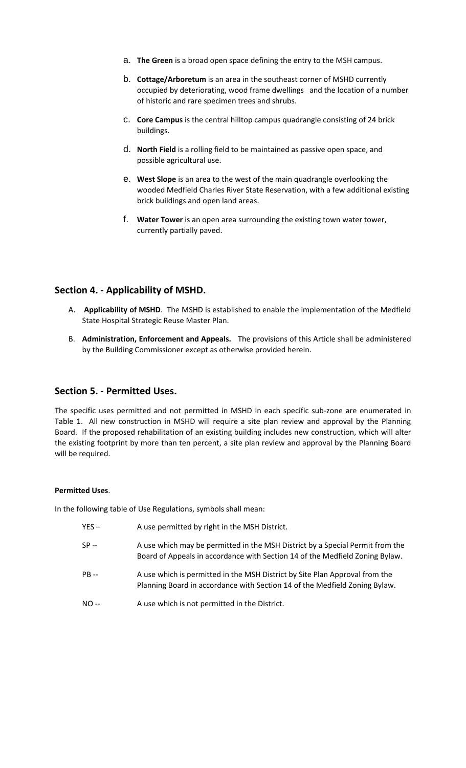- a. **The Green** is a broad open space defining the entry to the MSH campus.
- b. **Cottage/Arboretum** is an area in the southeast corner of MSHD currently occupied by deteriorating, wood frame dwellings and the location of a number of historic and rare specimen trees and shrubs.
- c. **Core Campus** is the central hilltop campus quadrangle consisting of 24 brick buildings.
- d. **North Field** is a rolling field to be maintained as passive open space, and possible agricultural use.
- e. **West Slope** is an area to the west of the main quadrangle overlooking the wooded Medfield Charles River State Reservation, with a few additional existing brick buildings and open land areas.
- f. **Water Tower** is an open area surrounding the existing town water tower, currently partially paved.

### **Section 4. - Applicability of MSHD.**

- A. **Applicability of MSHD**. The MSHD is established to enable the implementation of the Medfield State Hospital Strategic Reuse Master Plan.
- B. **Administration, Enforcement and Appeals.** The provisions of this Article shall be administered by the Building Commissioner except as otherwise provided herein.

### **Section 5. - Permitted Uses.**

The specific uses permitted and not permitted in MSHD in each specific sub-zone are enumerated in Table 1. All new construction in MSHD will require a site plan review and approval by the Planning Board. If the proposed rehabilitation of an existing building includes new construction, which will alter the existing footprint by more than ten percent, a site plan review and approval by the Planning Board will be required.

#### **Permitted Uses**.

In the following table of Use Regulations, symbols shall mean:

- YES A use permitted by right in the MSH District.
- SP -- A use which may be permitted in the MSH District by a Special Permit from the Board of Appeals in accordance with Section 14 of the Medfield Zoning Bylaw.
- PB -- A use which is permitted in the MSH District by Site Plan Approval from the Planning Board in accordance with Section 14 of the Medfield Zoning Bylaw.
- NO -- A use which is not permitted in the District.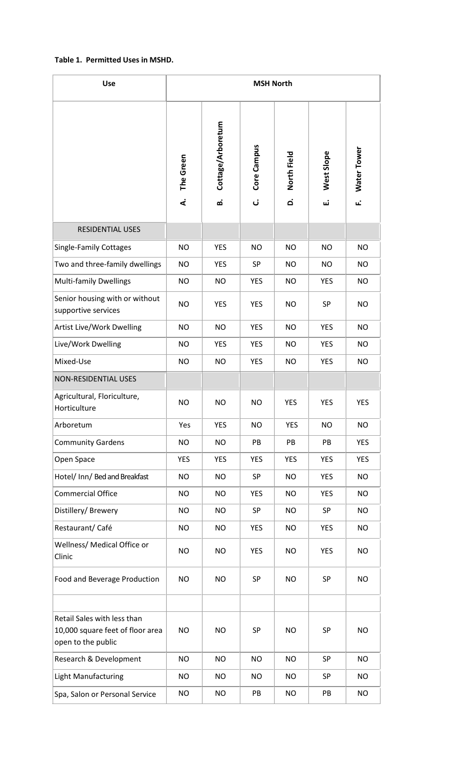### **Table 1. Permitted Uses in MSHD.**

| <b>Use</b>                                                                            | <b>MSH North</b> |                         |                  |                  |                 |                    |
|---------------------------------------------------------------------------------------|------------------|-------------------------|------------------|------------------|-----------------|--------------------|
|                                                                                       | The Green<br>4   | Cottage/Arboretum<br>ம் | Core Campus<br>ن | North Field<br>ة | West Slope<br>Ш | Water Tower<br>ιĽ. |
| <b>RESIDENTIAL USES</b>                                                               |                  |                         |                  |                  |                 |                    |
| <b>Single-Family Cottages</b>                                                         | <b>NO</b>        | <b>YES</b>              | <b>NO</b>        | <b>NO</b>        | <b>NO</b>       | <b>NO</b>          |
| Two and three-family dwellings                                                        | <b>NO</b>        | <b>YES</b>              | SP               | <b>NO</b>        | <b>NO</b>       | <b>NO</b>          |
| <b>Multi-family Dwellings</b>                                                         | <b>NO</b>        | <b>NO</b>               | <b>YES</b>       | <b>NO</b>        | <b>YES</b>      | <b>NO</b>          |
| Senior housing with or without<br>supportive services                                 | <b>NO</b>        | <b>YES</b>              | <b>YES</b>       | <b>NO</b>        | <b>SP</b>       | <b>NO</b>          |
| Artist Live/Work Dwelling                                                             | <b>NO</b>        | <b>NO</b>               | <b>YES</b>       | <b>NO</b>        | <b>YES</b>      | <b>NO</b>          |
| Live/Work Dwelling                                                                    | <b>NO</b>        | <b>YES</b>              | <b>YES</b>       | <b>NO</b>        | <b>YES</b>      | <b>NO</b>          |
| Mixed-Use                                                                             | <b>NO</b>        | <b>NO</b>               | <b>YES</b>       | <b>NO</b>        | <b>YES</b>      | <b>NO</b>          |
| <b>NON-RESIDENTIAL USES</b>                                                           |                  |                         |                  |                  |                 |                    |
| Agricultural, Floriculture,<br>Horticulture                                           | <b>NO</b>        | <b>NO</b>               | <b>NO</b>        | <b>YES</b>       | <b>YES</b>      | <b>YES</b>         |
| Arboretum                                                                             | Yes              | <b>YES</b>              | <b>NO</b>        | <b>YES</b>       | <b>NO</b>       | <b>NO</b>          |
| <b>Community Gardens</b>                                                              | <b>NO</b>        | <b>NO</b>               | PB               | PB               | PB              | YES                |
| Open Space                                                                            | <b>YES</b>       | <b>YES</b>              | <b>YES</b>       | <b>YES</b>       | <b>YES</b>      | <b>YES</b>         |
| Hotel/ Inn/ Bed and Breakfast                                                         | <b>NO</b>        | <b>NO</b>               | SP               | <b>NO</b>        | <b>YES</b>      | <b>NO</b>          |
| <b>Commercial Office</b>                                                              | <b>NO</b>        | <b>NO</b>               | <b>YES</b>       | <b>NO</b>        | <b>YES</b>      | <b>NO</b>          |
| Distillery/Brewery                                                                    | <b>NO</b>        | <b>NO</b>               | SP               | <b>NO</b>        | SP              | <b>NO</b>          |
| Restaurant/Café                                                                       | <b>NO</b>        | <b>NO</b>               | <b>YES</b>       | <b>NO</b>        | <b>YES</b>      | <b>NO</b>          |
| Wellness/ Medical Office or<br>Clinic                                                 | <b>NO</b>        | <b>NO</b>               | <b>YES</b>       | <b>NO</b>        | <b>YES</b>      | <b>NO</b>          |
| Food and Beverage Production                                                          | <b>NO</b>        | <b>NO</b>               | SP               | <b>NO</b>        | SP              | <b>NO</b>          |
|                                                                                       |                  |                         |                  |                  |                 |                    |
| Retail Sales with less than<br>10,000 square feet of floor area<br>open to the public | <b>NO</b>        | <b>NO</b>               | <b>SP</b>        | <b>NO</b>        | SP              | <b>NO</b>          |
| Research & Development                                                                | <b>NO</b>        | <b>NO</b>               | <b>NO</b>        | <b>NO</b>        | <b>SP</b>       | <b>NO</b>          |
| Light Manufacturing                                                                   | <b>NO</b>        | <b>NO</b>               | <b>NO</b>        | <b>NO</b>        | SP              | <b>NO</b>          |
| Spa, Salon or Personal Service                                                        | <b>NO</b>        | <b>NO</b>               | PB               | <b>NO</b>        | PB              | <b>NO</b>          |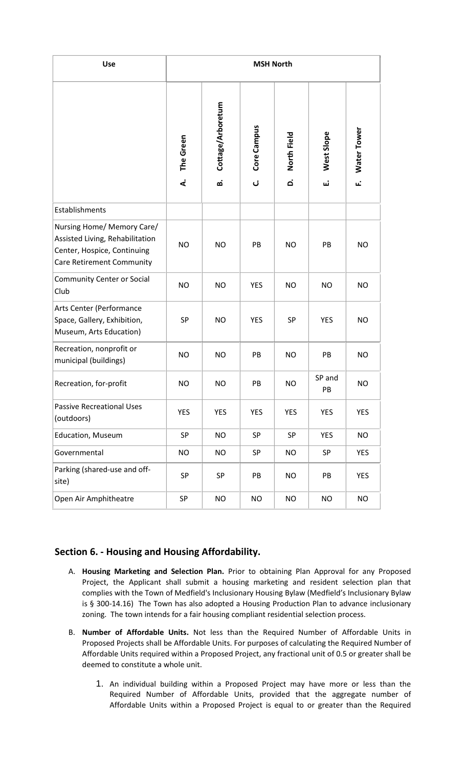| <b>Use</b>                                                                                                                       | <b>MSH North</b> |                         |                  |                                   |                  |                    |
|----------------------------------------------------------------------------------------------------------------------------------|------------------|-------------------------|------------------|-----------------------------------|------------------|--------------------|
|                                                                                                                                  | The Green<br>4   | Cottage/Arboretum<br>ம் | Core Campus<br>ن | North Field<br>$\dot{\mathbf{a}}$ | West Slope<br>ய் | Water Tower<br>μÌ, |
| Establishments                                                                                                                   |                  |                         |                  |                                   |                  |                    |
| Nursing Home/ Memory Care/<br>Assisted Living, Rehabilitation<br>Center, Hospice, Continuing<br><b>Care Retirement Community</b> | <b>NO</b>        | <b>NO</b>               | PB               | <b>NO</b>                         | PB               | <b>NO</b>          |
| <b>Community Center or Social</b><br>Club                                                                                        | <b>NO</b>        | <b>NO</b>               | <b>YES</b>       | <b>NO</b>                         | <b>NO</b>        | <b>NO</b>          |
| Arts Center (Performance<br>Space, Gallery, Exhibition,<br>Museum, Arts Education)                                               | SP               | <b>NO</b>               | <b>YES</b>       | SP                                | <b>YES</b>       | <b>NO</b>          |
| Recreation, nonprofit or<br>municipal (buildings)                                                                                | <b>NO</b>        | <b>NO</b>               | PB               | <b>NO</b>                         | PB               | <b>NO</b>          |
| Recreation, for-profit                                                                                                           | <b>NO</b>        | <b>NO</b>               | PB               | <b>NO</b>                         | SP and<br>PB     | <b>NO</b>          |
| <b>Passive Recreational Uses</b><br>(outdoors)                                                                                   | <b>YES</b>       | <b>YES</b>              | <b>YES</b>       | <b>YES</b>                        | <b>YES</b>       | <b>YES</b>         |
| <b>Education, Museum</b>                                                                                                         | SP               | <b>NO</b>               | SP               | SP                                | <b>YES</b>       | NO.                |
| Governmental                                                                                                                     | <b>NO</b>        | <b>NO</b>               | SP               | <b>NO</b>                         | SP               | <b>YES</b>         |
| Parking (shared-use and off-<br>site)                                                                                            | SP               | SP                      | PB               | NO                                | PB               | <b>YES</b>         |
| Open Air Amphitheatre                                                                                                            | SP               | <b>NO</b>               | NO               | NO                                | NO               | NO                 |

# **Section 6. - Housing and Housing Affordability.**

- A. **Housing Marketing and Selection Plan.** Prior to obtaining Plan Approval for any Proposed Project, the Applicant shall submit a housing marketing and resident selection plan that complies with the Town of Medfield's Inclusionary Housing Bylaw (Medfield's Inclusionary Bylaw is § 300-14.16) The Town has also adopted a Housing Production Plan to advance inclusionary zoning. The town intends for a fair housing compliant residential selection process.
- B. **Number of Affordable Units.** Not less than the Required Number of Affordable Units in Proposed Projects shall be Affordable Units. For purposes of calculating the Required Number of Affordable Units required within a Proposed Project, any fractional unit of 0.5 or greater shall be deemed to constitute a whole unit.
	- 1. An individual building within a Proposed Project may have more or less than the Required Number of Affordable Units, provided that the aggregate number of Affordable Units within a Proposed Project is equal to or greater than the Required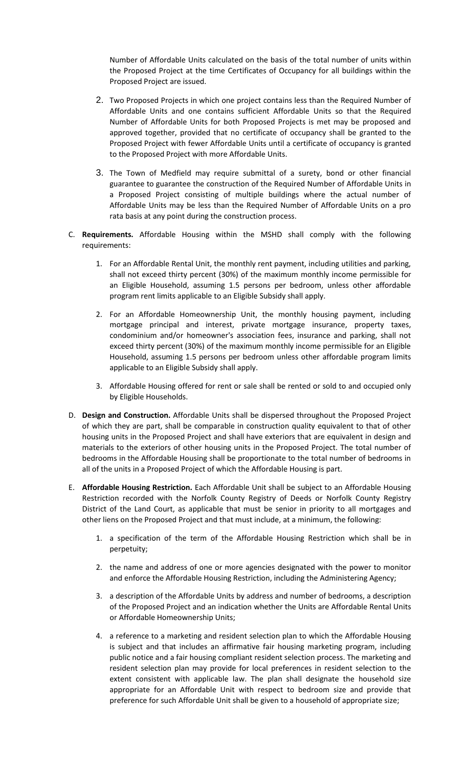Number of Affordable Units calculated on the basis of the total number of units within the Proposed Project at the time Certificates of Occupancy for all buildings within the Proposed Project are issued.

- 2. Two Proposed Projects in which one project contains less than the Required Number of Affordable Units and one contains sufficient Affordable Units so that the Required Number of Affordable Units for both Proposed Projects is met may be proposed and approved together, provided that no certificate of occupancy shall be granted to the Proposed Project with fewer Affordable Units until a certificate of occupancy is granted to the Proposed Project with more Affordable Units.
- 3. The Town of Medfield may require submittal of a surety, bond or other financial guarantee to guarantee the construction of the Required Number of Affordable Units in a Proposed Project consisting of multiple buildings where the actual number of Affordable Units may be less than the Required Number of Affordable Units on a pro rata basis at any point during the construction process.
- C. **Requirements.** Affordable Housing within the MSHD shall comply with the following requirements:
	- 1. For an Affordable Rental Unit, the monthly rent payment, including utilities and parking, shall not exceed thirty percent (30%) of the maximum monthly income permissible for an Eligible Household, assuming 1.5 persons per bedroom, unless other affordable program rent limits applicable to an Eligible Subsidy shall apply.
	- 2. For an Affordable Homeownership Unit, the monthly housing payment, including mortgage principal and interest, private mortgage insurance, property taxes, condominium and/or homeowner's association fees, insurance and parking, shall not exceed thirty percent (30%) of the maximum monthly income permissible for an Eligible Household, assuming 1.5 persons per bedroom unless other affordable program limits applicable to an Eligible Subsidy shall apply.
	- 3. Affordable Housing offered for rent or sale shall be rented or sold to and occupied only by Eligible Households.
- D. **Design and Construction.** Affordable Units shall be dispersed throughout the Proposed Project of which they are part, shall be comparable in construction quality equivalent to that of other housing units in the Proposed Project and shall have exteriors that are equivalent in design and materials to the exteriors of other housing units in the Proposed Project. The total number of bedrooms in the Affordable Housing shall be proportionate to the total number of bedrooms in all of the units in a Proposed Project of which the Affordable Housing is part.
- E. **Affordable Housing Restriction.** Each Affordable Unit shall be subject to an Affordable Housing Restriction recorded with the Norfolk County Registry of Deeds or Norfolk County Registry District of the Land Court, as applicable that must be senior in priority to all mortgages and other liens on the Proposed Project and that must include, at a minimum, the following:
	- 1. a specification of the term of the Affordable Housing Restriction which shall be in perpetuity;
	- 2. the name and address of one or more agencies designated with the power to monitor and enforce the Affordable Housing Restriction, including the Administering Agency;
	- 3. a description of the Affordable Units by address and number of bedrooms, a description of the Proposed Project and an indication whether the Units are Affordable Rental Units or Affordable Homeownership Units;
	- 4. a reference to a marketing and resident selection plan to which the Affordable Housing is subject and that includes an affirmative fair housing marketing program, including public notice and a fair housing compliant resident selection process. The marketing and resident selection plan may provide for local preferences in resident selection to the extent consistent with applicable law. The plan shall designate the household size appropriate for an Affordable Unit with respect to bedroom size and provide that preference for such Affordable Unit shall be given to a household of appropriate size;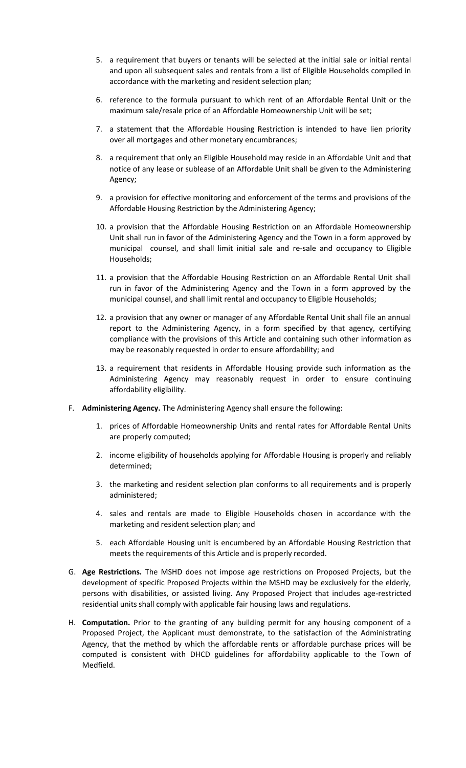- 5. a requirement that buyers or tenants will be selected at the initial sale or initial rental and upon all subsequent sales and rentals from a list of Eligible Households compiled in accordance with the marketing and resident selection plan;
- 6. reference to the formula pursuant to which rent of an Affordable Rental Unit or the maximum sale/resale price of an Affordable Homeownership Unit will be set;
- 7. a statement that the Affordable Housing Restriction is intended to have lien priority over all mortgages and other monetary encumbrances;
- 8. a requirement that only an Eligible Household may reside in an Affordable Unit and that notice of any lease or sublease of an Affordable Unit shall be given to the Administering Agency;
- 9. a provision for effective monitoring and enforcement of the terms and provisions of the Affordable Housing Restriction by the Administering Agency;
- 10. a provision that the Affordable Housing Restriction on an Affordable Homeownership Unit shall run in favor of the Administering Agency and the Town in a form approved by municipal counsel, and shall limit initial sale and re-sale and occupancy to Eligible Households;
- 11. a provision that the Affordable Housing Restriction on an Affordable Rental Unit shall run in favor of the Administering Agency and the Town in a form approved by the municipal counsel, and shall limit rental and occupancy to Eligible Households;
- 12. a provision that any owner or manager of any Affordable Rental Unit shall file an annual report to the Administering Agency, in a form specified by that agency, certifying compliance with the provisions of this Article and containing such other information as may be reasonably requested in order to ensure affordability; and
- 13. a requirement that residents in Affordable Housing provide such information as the Administering Agency may reasonably request in order to ensure continuing affordability eligibility.
- F. **Administering Agency.** The Administering Agency shall ensure the following:
	- 1. prices of Affordable Homeownership Units and rental rates for Affordable Rental Units are properly computed;
	- 2. income eligibility of households applying for Affordable Housing is properly and reliably determined;
	- 3. the marketing and resident selection plan conforms to all requirements and is properly administered;
	- 4. sales and rentals are made to Eligible Households chosen in accordance with the marketing and resident selection plan; and
	- 5. each Affordable Housing unit is encumbered by an Affordable Housing Restriction that meets the requirements of this Article and is properly recorded.
- G. **Age Restrictions.** The MSHD does not impose age restrictions on Proposed Projects, but the development of specific Proposed Projects within the MSHD may be exclusively for the elderly, persons with disabilities, or assisted living. Any Proposed Project that includes age-restricted residential units shall comply with applicable fair housing laws and regulations.
- H. **Computation.** Prior to the granting of any building permit for any housing component of a Proposed Project, the Applicant must demonstrate, to the satisfaction of the Administrating Agency, that the method by which the affordable rents or affordable purchase prices will be computed is consistent with DHCD guidelines for affordability applicable to the Town of Medfield.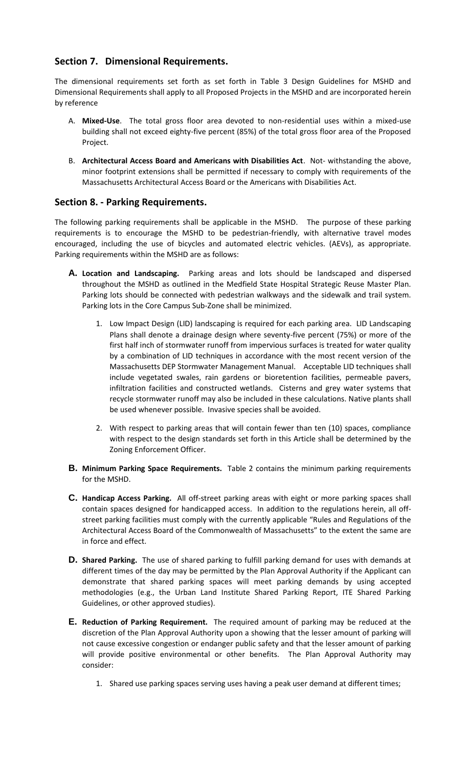# **Section 7. Dimensional Requirements.**

The dimensional requirements set forth as set forth in Table 3 Design Guidelines for MSHD and Dimensional Requirements shall apply to all Proposed Projects in the MSHD and are incorporated herein by reference

- A. **Mixed-Use**. The total gross floor area devoted to non-residential uses within a mixed-use building shall not exceed eighty-five percent (85%) of the total gross floor area of the Proposed Project.
- B. **Architectural Access Board and Americans with Disabilities Act**. Not- withstanding the above, minor footprint extensions shall be permitted if necessary to comply with requirements of the Massachusetts Architectural Access Board or the Americans with Disabilities Act.

# **Section 8. - Parking Requirements.**

The following parking requirements shall be applicable in the MSHD. The purpose of these parking requirements is to encourage the MSHD to be pedestrian-friendly, with alternative travel modes encouraged, including the use of bicycles and automated electric vehicles. (AEVs), as appropriate. Parking requirements within the MSHD are as follows:

- **A. Location and Landscaping.** Parking areas and lots should be landscaped and dispersed throughout the MSHD as outlined in the Medfield State Hospital Strategic Reuse Master Plan. Parking lots should be connected with pedestrian walkways and the sidewalk and trail system. Parking lots in the Core Campus Sub-Zone shall be minimized.
	- 1. Low Impact Design (LID) landscaping is required for each parking area. LID Landscaping Plans shall denote a drainage design where seventy-five percent (75%) or more of the first half inch of stormwater runoff from impervious surfaces is treated for water quality by a combination of LID techniques in accordance with the most recent version of the Massachusetts DEP Stormwater Management Manual. Acceptable LID techniques shall include vegetated swales, rain gardens or bioretention facilities, permeable pavers, infiltration facilities and constructed wetlands. Cisterns and grey water systems that recycle stormwater runoff may also be included in these calculations. Native plants shall be used whenever possible. Invasive species shall be avoided.
	- 2. With respect to parking areas that will contain fewer than ten (10) spaces, compliance with respect to the design standards set forth in this Article shall be determined by the Zoning Enforcement Officer.
- **B. Minimum Parking Space Requirements.** Table 2 contains the minimum parking requirements for the MSHD.
- **C. Handicap Access Parking.** All off-street parking areas with eight or more parking spaces shall contain spaces designed for handicapped access. In addition to the regulations herein, all offstreet parking facilities must comply with the currently applicable "Rules and Regulations of the Architectural Access Board of the Commonwealth of Massachusetts" to the extent the same are in force and effect.
- **D. Shared Parking.** The use of shared parking to fulfill parking demand for uses with demands at different times of the day may be permitted by the Plan Approval Authority if the Applicant can demonstrate that shared parking spaces will meet parking demands by using accepted methodologies (e.g., the Urban Land Institute Shared Parking Report, ITE Shared Parking Guidelines, or other approved studies).
- **E. Reduction of Parking Requirement.** The required amount of parking may be reduced at the discretion of the Plan Approval Authority upon a showing that the lesser amount of parking will not cause excessive congestion or endanger public safety and that the lesser amount of parking will provide positive environmental or other benefits. The Plan Approval Authority may consider:
	- 1. Shared use parking spaces serving uses having a peak user demand at different times;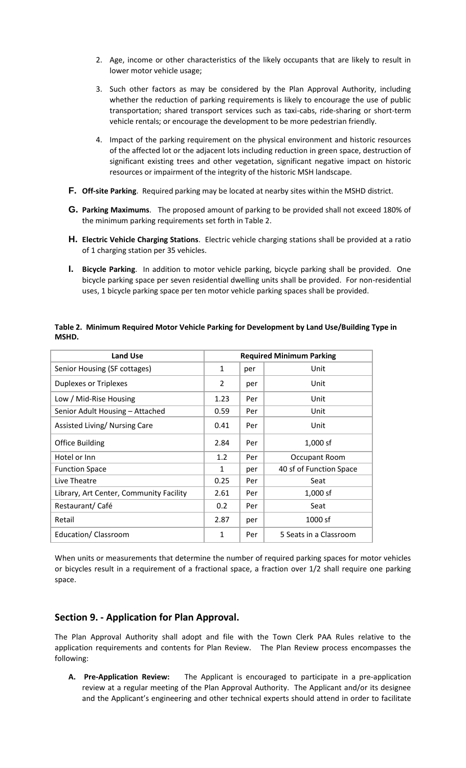- 2. Age, income or other characteristics of the likely occupants that are likely to result in lower motor vehicle usage;
- 3. Such other factors as may be considered by the Plan Approval Authority, including whether the reduction of parking requirements is likely to encourage the use of public transportation; shared transport services such as taxi-cabs, ride-sharing or short-term vehicle rentals; or encourage the development to be more pedestrian friendly.
- 4. Impact of the parking requirement on the physical environment and historic resources of the affected lot or the adjacent lots including reduction in green space, destruction of significant existing trees and other vegetation, significant negative impact on historic resources or impairment of the integrity of the historic MSH landscape.
- **F. Off-site Parking**. Required parking may be located at nearby sites within the MSHD district.
- **G. Parking Maximums**. The proposed amount of parking to be provided shall not exceed 180% of the minimum parking requirements set forth in Table 2.
- **H. Electric Vehicle Charging Stations**. Electric vehicle charging stations shall be provided at a ratio of 1 charging station per 35 vehicles.
- **I. Bicycle Parking**. In addition to motor vehicle parking, bicycle parking shall be provided. One bicycle parking space per seven residential dwelling units shall be provided. For non-residential uses, 1 bicycle parking space per ten motor vehicle parking spaces shall be provided.

| <b>Land Use</b>                         | <b>Required Minimum Parking</b> |     |                         |
|-----------------------------------------|---------------------------------|-----|-------------------------|
| Senior Housing (SF cottages)            | $\mathbf{1}$                    | per | Unit                    |
| <b>Duplexes or Triplexes</b>            | 2                               | per | Unit                    |
| Low / Mid-Rise Housing                  | 1.23                            | Per | Unit                    |
| Senior Adult Housing - Attached         | 0.59                            | Per | Unit                    |
| Assisted Living/ Nursing Care           | 0.41                            | Per | Unit                    |
| <b>Office Building</b>                  | 2.84                            | Per | $1,000$ sf              |
| Hotel or Inn                            | 1.2                             | Per | Occupant Room           |
| <b>Function Space</b>                   | $\mathbf{1}$                    | per | 40 sf of Function Space |
| Live Theatre                            | 0.25                            | Per | Seat                    |
| Library, Art Center, Community Facility | 2.61                            | Per | $1,000$ sf              |
| Restaurant/Café                         | 0.2                             | Per | Seat                    |
| Retail                                  | 2.87                            | per | 1000 sf                 |
| Education/Classroom                     | 1                               | Per | 5 Seats in a Classroom  |

#### **Table 2. Minimum Required Motor Vehicle Parking for Development by Land Use/Building Type in MSHD.**

When units or measurements that determine the number of required parking spaces for motor vehicles or bicycles result in a requirement of a fractional space, a fraction over 1/2 shall require one parking space.

# **Section 9. - Application for Plan Approval.**

The Plan Approval Authority shall adopt and file with the Town Clerk PAA Rules relative to the application requirements and contents for Plan Review. The Plan Review process encompasses the following:

**A. Pre-Application Review:** The Applicant is encouraged to participate in a pre-application review at a regular meeting of the Plan Approval Authority. The Applicant and/or its designee and the Applicant's engineering and other technical experts should attend in order to facilitate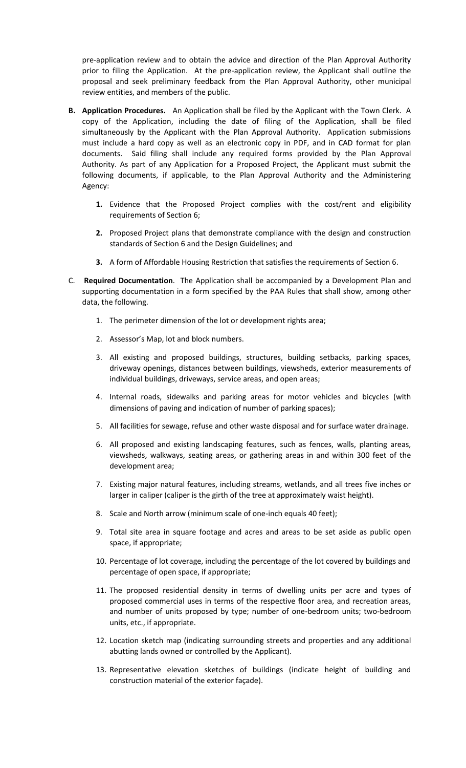pre-application review and to obtain the advice and direction of the Plan Approval Authority prior to filing the Application. At the pre-application review, the Applicant shall outline the proposal and seek preliminary feedback from the Plan Approval Authority, other municipal review entities, and members of the public.

- **B. Application Procedures.** An Application shall be filed by the Applicant with the Town Clerk. A copy of the Application, including the date of filing of the Application, shall be filed simultaneously by the Applicant with the Plan Approval Authority. Application submissions must include a hard copy as well as an electronic copy in PDF, and in CAD format for plan documents. Said filing shall include any required forms provided by the Plan Approval Authority. As part of any Application for a Proposed Project, the Applicant must submit the following documents, if applicable, to the Plan Approval Authority and the Administering Agency:
	- **1.** Evidence that the Proposed Project complies with the cost/rent and eligibility requirements of Section 6;
	- **2.** Proposed Project plans that demonstrate compliance with the design and construction standards of Section 6 and the Design Guidelines; and
	- **3.** A form of Affordable Housing Restriction that satisfies the requirements of Section 6.
- C. **Required Documentation**. The Application shall be accompanied by a Development Plan and supporting documentation in a form specified by the PAA Rules that shall show, among other data, the following.
	- 1. The perimeter dimension of the lot or development rights area;
	- 2. Assessor's Map, lot and block numbers.
	- 3. All existing and proposed buildings, structures, building setbacks, parking spaces, driveway openings, distances between buildings, viewsheds, exterior measurements of individual buildings, driveways, service areas, and open areas;
	- 4. Internal roads, sidewalks and parking areas for motor vehicles and bicycles (with dimensions of paving and indication of number of parking spaces);
	- 5. All facilities for sewage, refuse and other waste disposal and for surface water drainage.
	- 6. All proposed and existing landscaping features, such as fences, walls, planting areas, viewsheds, walkways, seating areas, or gathering areas in and within 300 feet of the development area;
	- 7. Existing major natural features, including streams, wetlands, and all trees five inches or larger in caliper (caliper is the girth of the tree at approximately waist height).
	- 8. Scale and North arrow (minimum scale of one-inch equals 40 feet);
	- 9. Total site area in square footage and acres and areas to be set aside as public open space, if appropriate;
	- 10. Percentage of lot coverage, including the percentage of the lot covered by buildings and percentage of open space, if appropriate;
	- 11. The proposed residential density in terms of dwelling units per acre and types of proposed commercial uses in terms of the respective floor area, and recreation areas, and number of units proposed by type; number of one-bedroom units; two-bedroom units, etc., if appropriate.
	- 12. Location sketch map (indicating surrounding streets and properties and any additional abutting lands owned or controlled by the Applicant).
	- 13. Representative elevation sketches of buildings (indicate height of building and construction material of the exterior façade).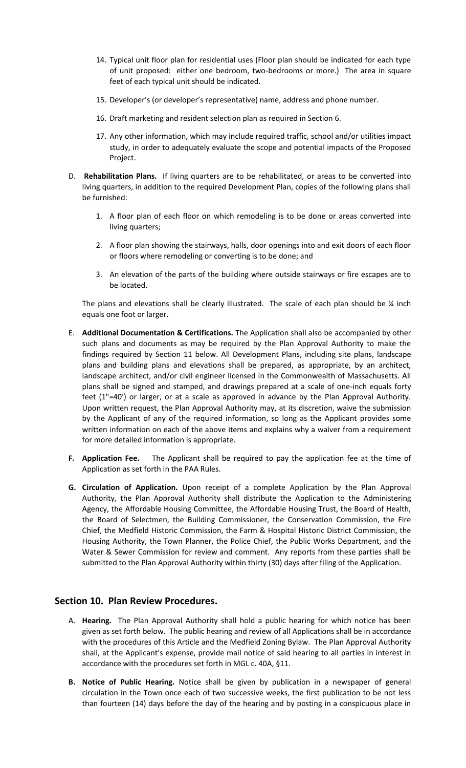- 14. Typical unit floor plan for residential uses (Floor plan should be indicated for each type of unit proposed: either one bedroom, two-bedrooms or more.) The area in square feet of each typical unit should be indicated.
- 15. Developer's (or developer's representative) name, address and phone number.
- 16. Draft marketing and resident selection plan as required in Section 6.
- 17. Any other information, which may include required traffic, school and/or utilities impact study, in order to adequately evaluate the scope and potential impacts of the Proposed Project.
- D. **Rehabilitation Plans.** If living quarters are to be rehabilitated, or areas to be converted into living quarters, in addition to the required Development Plan, copies of the following plans shall be furnished:
	- 1. A floor plan of each floor on which remodeling is to be done or areas converted into living quarters;
	- 2. A floor plan showing the stairways, halls, door openings into and exit doors of each floor or floors where remodeling or converting is to be done; and
	- 3. An elevation of the parts of the building where outside stairways or fire escapes are to be located.

The plans and elevations shall be clearly illustrated. The scale of each plan should be  $\frac{1}{4}$  inch equals one foot or larger.

- E. **Additional Documentation & Certifications.** The Application shall also be accompanied by other such plans and documents as may be required by the Plan Approval Authority to make the findings required by Section 11 below. All Development Plans, including site plans, landscape plans and building plans and elevations shall be prepared, as appropriate, by an architect, landscape architect, and/or civil engineer licensed in the Commonwealth of Massachusetts. All plans shall be signed and stamped, and drawings prepared at a scale of one-inch equals forty feet (1"=40') or larger, or at a scale as approved in advance by the Plan Approval Authority. Upon written request, the Plan Approval Authority may, at its discretion, waive the submission by the Applicant of any of the required information, so long as the Applicant provides some written information on each of the above items and explains why a waiver from a requirement for more detailed information is appropriate.
- **F. Application Fee.** The Applicant shall be required to pay the application fee at the time of Application as set forth in the PAA Rules.
- **G. Circulation of Application.** Upon receipt of a complete Application by the Plan Approval Authority, the Plan Approval Authority shall distribute the Application to the Administering Agency, the Affordable Housing Committee, the Affordable Housing Trust, the Board of Health, the Board of Selectmen, the Building Commissioner, the Conservation Commission, the Fire Chief, the Medfield Historic Commission, the Farm & Hospital Historic District Commission, the Housing Authority, the Town Planner, the Police Chief, the Public Works Department, and the Water & Sewer Commission for review and comment. Any reports from these parties shall be submitted to the Plan Approval Authority within thirty (30) days after filing of the Application.

### **Section 10. Plan Review Procedures.**

- A. **Hearing.** The Plan Approval Authority shall hold a public hearing for which notice has been given as set forth below. The public hearing and review of all Applications shall be in accordance with the procedures of this Article and the Medfield Zoning Bylaw. The Plan Approval Authority shall, at the Applicant's expense, provide mail notice of said hearing to all parties in interest in accordance with the procedures set forth in MGL c. 40A, §11.
- **B. Notice of Public Hearing.** Notice shall be given by publication in a newspaper of general circulation in the Town once each of two successive weeks, the first publication to be not less than fourteen (14) days before the day of the hearing and by posting in a conspicuous place in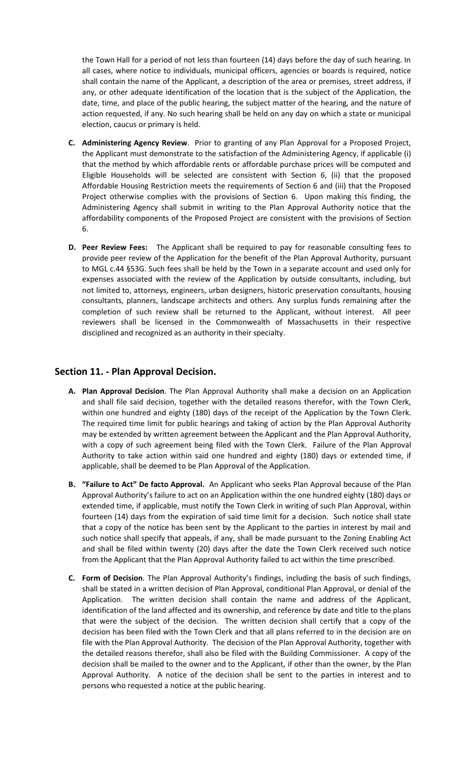the Town Hall for a period of not less than fourteen (14) days before the day of such hearing. In all cases, where notice to individuals, municipal officers, agencies or boards is required, notice shall contain the name of the Applicant, a description of the area or premises, street address, if any, or other adequate identification of the location that is the subject of the Application, the date, time, and place of the public hearing, the subject matter of the hearing, and the nature of action requested, if any. No such hearing shall be held on any day on which a state or municipal election, caucus or primary is held.

- **C. Administering Agency Review**. Prior to granting of any Plan Approval for a Proposed Project, the Applicant must demonstrate to the satisfaction of the Administering Agency, if applicable (i) that the method by which affordable rents or affordable purchase prices will be computed and Eligible Households will be selected are consistent with Section 6, (ii) that the proposed Affordable Housing Restriction meets the requirements of Section 6 and (iii) that the Proposed Project otherwise complies with the provisions of Section 6. Upon making this finding, the Administering Agency shall submit in writing to the Plan Approval Authority notice that the affordability components of the Proposed Project are consistent with the provisions of Section 6.
- **D. Peer Review Fees:** The Applicant shall be required to pay for reasonable consulting fees to provide peer review of the Application for the benefit of the Plan Approval Authority, pursuant to MGL c.44 §53G. Such fees shall be held by the Town in a separate account and used only for expenses associated with the review of the Application by outside consultants, including, but not limited to, attorneys, engineers, urban designers, historic preservation consultants, housing consultants, planners, landscape architects and others. Any surplus funds remaining after the completion of such review shall be returned to the Applicant, without interest. All peer reviewers shall be licensed in the Commonwealth of Massachusetts in their respective disciplined and recognized as an authority in their specialty.

# **Section 11. - Plan Approval Decision.**

- **A. Plan Approval Decision**. The Plan Approval Authority shall make a decision on an Application and shall file said decision, together with the detailed reasons therefor, with the Town Clerk, within one hundred and eighty (180) days of the receipt of the Application by the Town Clerk. The required time limit for public hearings and taking of action by the Plan Approval Authority may be extended by written agreement between the Applicant and the Plan Approval Authority, with a copy of such agreement being filed with the Town Clerk. Failure of the Plan Approval Authority to take action within said one hundred and eighty (180) days or extended time, if applicable, shall be deemed to be Plan Approval of the Application.
- **B. "Failure to Act" De facto Approval.** An Applicant who seeks Plan Approval because of the Plan Approval Authority's failure to act on an Application within the one hundred eighty (180) days or extended time, if applicable, must notify the Town Clerk in writing of such Plan Approval, within fourteen (14) days from the expiration of said time limit for a decision. Such notice shall state that a copy of the notice has been sent by the Applicant to the parties in interest by mail and such notice shall specify that appeals, if any, shall be made pursuant to the Zoning Enabling Act and shall be filed within twenty (20) days after the date the Town Clerk received such notice from the Applicant that the Plan Approval Authority failed to act within the time prescribed.
- **C. Form of Decision**. The Plan Approval Authority's findings, including the basis of such findings, shall be stated in a written decision of Plan Approval, conditional Plan Approval, or denial of the Application. The written decision shall contain the name and address of the Applicant, identification of the land affected and its ownership, and reference by date and title to the plans that were the subject of the decision. The written decision shall certify that a copy of the decision has been filed with the Town Clerk and that all plans referred to in the decision are on file with the Plan Approval Authority. The decision of the Plan Approval Authority, together with the detailed reasons therefor, shall also be filed with the Building Commissioner. A copy of the decision shall be mailed to the owner and to the Applicant, if other than the owner, by the Plan Approval Authority. A notice of the decision shall be sent to the parties in interest and to persons who requested a notice at the public hearing.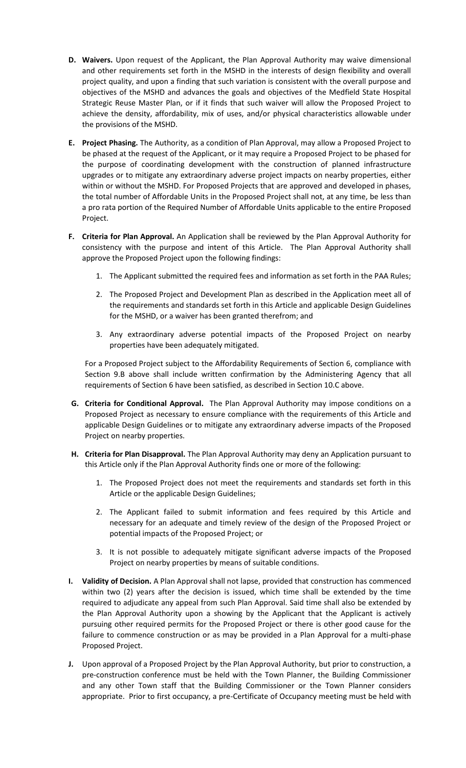- **D. Waivers.** Upon request of the Applicant, the Plan Approval Authority may waive dimensional and other requirements set forth in the MSHD in the interests of design flexibility and overall project quality, and upon a finding that such variation is consistent with the overall purpose and objectives of the MSHD and advances the goals and objectives of the Medfield State Hospital Strategic Reuse Master Plan, or if it finds that such waiver will allow the Proposed Project to achieve the density, affordability, mix of uses, and/or physical characteristics allowable under the provisions of the MSHD.
- **E. Project Phasing.** The Authority, as a condition of Plan Approval, may allow a Proposed Project to be phased at the request of the Applicant, or it may require a Proposed Project to be phased for the purpose of coordinating development with the construction of planned infrastructure upgrades or to mitigate any extraordinary adverse project impacts on nearby properties, either within or without the MSHD. For Proposed Projects that are approved and developed in phases, the total number of Affordable Units in the Proposed Project shall not, at any time, be less than a pro rata portion of the Required Number of Affordable Units applicable to the entire Proposed Project.
- **F. Criteria for Plan Approval.** An Application shall be reviewed by the Plan Approval Authority for consistency with the purpose and intent of this Article. The Plan Approval Authority shall approve the Proposed Project upon the following findings:
	- 1. The Applicant submitted the required fees and information as set forth in the PAA Rules;
	- 2. The Proposed Project and Development Plan as described in the Application meet all of the requirements and standards set forth in this Article and applicable Design Guidelines for the MSHD, or a waiver has been granted therefrom; and
	- 3. Any extraordinary adverse potential impacts of the Proposed Project on nearby properties have been adequately mitigated.

For a Proposed Project subject to the Affordability Requirements of Section 6, compliance with Section 9.B above shall include written confirmation by the Administering Agency that all requirements of Section 6 have been satisfied, as described in Section 10.C above.

- **G. Criteria for Conditional Approval.** The Plan Approval Authority may impose conditions on a Proposed Project as necessary to ensure compliance with the requirements of this Article and applicable Design Guidelines or to mitigate any extraordinary adverse impacts of the Proposed Project on nearby properties.
- **H. Criteria for Plan Disapproval.** The Plan Approval Authority may deny an Application pursuant to this Article only if the Plan Approval Authority finds one or more of the following:
	- 1. The Proposed Project does not meet the requirements and standards set forth in this Article or the applicable Design Guidelines;
	- 2. The Applicant failed to submit information and fees required by this Article and necessary for an adequate and timely review of the design of the Proposed Project or potential impacts of the Proposed Project; or
	- 3. It is not possible to adequately mitigate significant adverse impacts of the Proposed Project on nearby properties by means of suitable conditions.
- **I. Validity of Decision.** A Plan Approval shall not lapse, provided that construction has commenced within two (2) years after the decision is issued, which time shall be extended by the time required to adjudicate any appeal from such Plan Approval. Said time shall also be extended by the Plan Approval Authority upon a showing by the Applicant that the Applicant is actively pursuing other required permits for the Proposed Project or there is other good cause for the failure to commence construction or as may be provided in a Plan Approval for a multi-phase Proposed Project.
- **J.** Upon approval of a Proposed Project by the Plan Approval Authority, but prior to construction, a pre-construction conference must be held with the Town Planner, the Building Commissioner and any other Town staff that the Building Commissioner or the Town Planner considers appropriate. Prior to first occupancy, a pre-Certificate of Occupancy meeting must be held with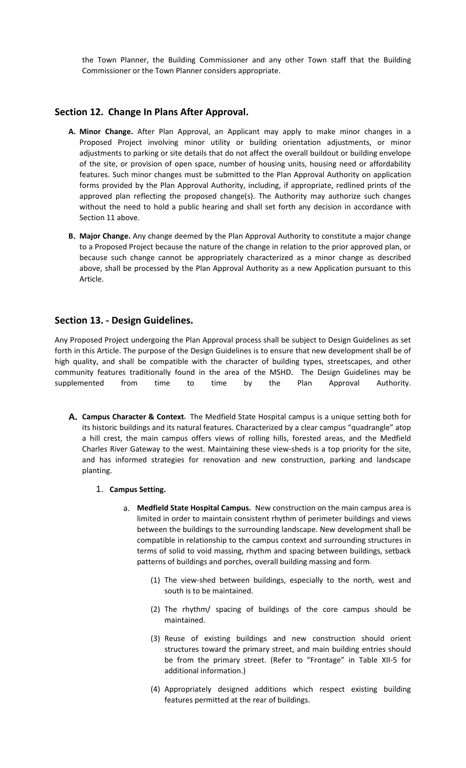the Town Planner, the Building Commissioner and any other Town staff that the Building Commissioner or the Town Planner considers appropriate.

# **Section 12. Change In Plans After Approval.**

- **A. Minor Change.** After Plan Approval, an Applicant may apply to make minor changes in a Proposed Project involving minor utility or building orientation adjustments, or minor adjustments to parking or site details that do not affect the overall buildout or building envelope of the site, or provision of open space, number of housing units, housing need or affordability features. Such minor changes must be submitted to the Plan Approval Authority on application forms provided by the Plan Approval Authority, including, if appropriate, redlined prints of the approved plan reflecting the proposed change(s). The Authority may authorize such changes without the need to hold a public hearing and shall set forth any decision in accordance with Section 11 above.
- **B. Major Change.** Any change deemed by the Plan Approval Authority to constitute a major change to a Proposed Project because the nature of the change in relation to the prior approved plan, or because such change cannot be appropriately characterized as a minor change as described above, shall be processed by the Plan Approval Authority as a new Application pursuant to this Article.

### **Section 13. - Design Guidelines.**

Any Proposed Project undergoing the Plan Approval process shall be subject to Design Guidelines as set forth in this Article. The purpose of the Design Guidelines is to ensure that new development shall be of high quality, and shall be compatible with the character of building types, streetscapes, and other community features traditionally found in the area of the MSHD. The Design Guidelines may be supplemented from time to time by the Plan Approval Authority.

- **A. Campus Character & Context.** The Medfield State Hospital campus is a unique setting both for its historic buildings and its natural features. Characterized by a clear campus "quadrangle" atop a hill crest, the main campus offers views of rolling hills, forested areas, and the Medfield Charles River Gateway to the west. Maintaining these view-sheds is a top priority for the site, and has informed strategies for renovation and new construction, parking and landscape planting.
	- 1. **Campus Setting.** 
		- a. **Medfield State Hospital Campus.** New construction on the main campus area is limited in order to maintain consistent rhythm of perimeter buildings and views between the buildings to the surrounding landscape. New development shall be compatible in relationship to the campus context and surrounding structures in terms of solid to void massing, rhythm and spacing between buildings, setback patterns of buildings and porches, overall building massing and form.
			- (1) The view-shed between buildings, especially to the north, west and south is to be maintained.
			- (2) The rhythm/ spacing of buildings of the core campus should be maintained.
			- (3) Reuse of existing buildings and new construction should orient structures toward the primary street, and main building entries should be from the primary street. (Refer to "Frontage" in Table XII-5 for additional information.)
			- (4) Appropriately designed additions which respect existing building features permitted at the rear of buildings.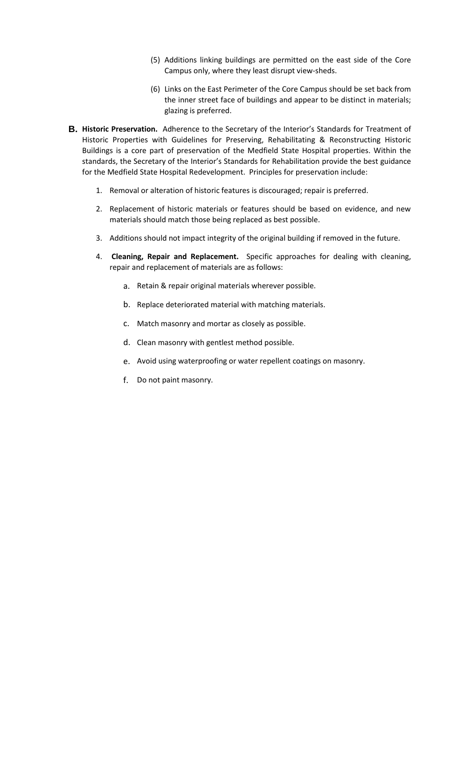- (5) Additions linking buildings are permitted on the east side of the Core Campus only, where they least disrupt view-sheds.
- (6) Links on the East Perimeter of the Core Campus should be set back from the inner street face of buildings and appear to be distinct in materials; glazing is preferred.
- **B. Historic Preservation.** Adherence to the Secretary of the Interior's Standards for Treatment of Historic Properties with Guidelines for Preserving, Rehabilitating & Reconstructing Historic Buildings is a core part of preservation of the Medfield State Hospital properties. Within the standards, the Secretary of the Interior's Standards for Rehabilitation provide the best guidance for the Medfield State Hospital Redevelopment. Principles for preservation include:
	- 1. Removal or alteration of historic features is discouraged; repair is preferred.
	- 2. Replacement of historic materials or features should be based on evidence, and new materials should match those being replaced as best possible.
	- 3. Additions should not impact integrity of the original building if removed in the future.
	- 4. **Cleaning, Repair and Replacement.** Specific approaches for dealing with cleaning, repair and replacement of materials are as follows:
		- a. Retain & repair original materials wherever possible.
		- b. Replace deteriorated material with matching materials.
		- c. Match masonry and mortar as closely as possible.
		- d. Clean masonry with gentlest method possible.
		- e. Avoid using waterproofing or water repellent coatings on masonry.
		- f. Do not paint masonry.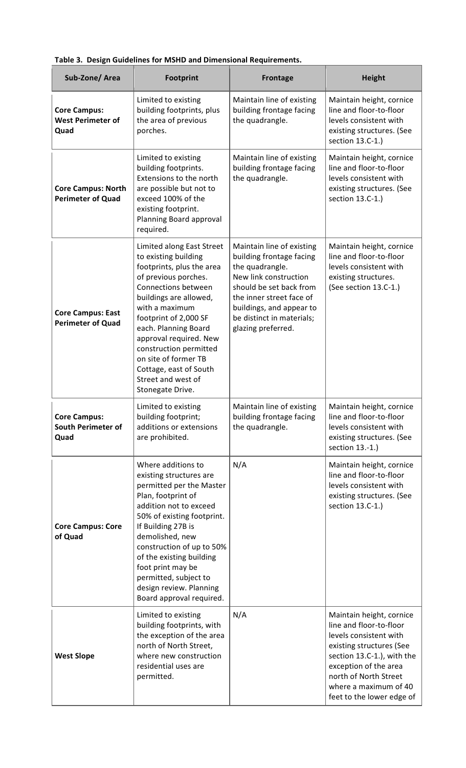|  |  | Table 3. Design Guidelines for MSHD and Dimensional Requirements. |
|--|--|-------------------------------------------------------------------|
|  |  |                                                                   |

| Sub-Zone/Area                                           | <b>Footprint</b>                                                                                                                                                                                                                                                                                                                                                           | <b>Frontage</b>                                                                                                                                                                                                                         | <b>Height</b>                                                                                                                                                                                                                                   |  |
|---------------------------------------------------------|----------------------------------------------------------------------------------------------------------------------------------------------------------------------------------------------------------------------------------------------------------------------------------------------------------------------------------------------------------------------------|-----------------------------------------------------------------------------------------------------------------------------------------------------------------------------------------------------------------------------------------|-------------------------------------------------------------------------------------------------------------------------------------------------------------------------------------------------------------------------------------------------|--|
| <b>Core Campus:</b><br><b>West Perimeter of</b><br>Quad | Limited to existing<br>building footprints, plus<br>the area of previous<br>porches.                                                                                                                                                                                                                                                                                       | Maintain line of existing<br>building frontage facing<br>the quadrangle.                                                                                                                                                                | Maintain height, cornice<br>line and floor-to-floor<br>levels consistent with<br>existing structures. (See<br>section 13.C-1.)                                                                                                                  |  |
| <b>Core Campus: North</b><br><b>Perimeter of Quad</b>   | Limited to existing<br>building footprints.<br>Extensions to the north<br>are possible but not to<br>exceed 100% of the<br>existing footprint.<br>Planning Board approval<br>required.                                                                                                                                                                                     | Maintain line of existing<br>building frontage facing<br>the quadrangle.                                                                                                                                                                | Maintain height, cornice<br>line and floor-to-floor<br>levels consistent with<br>existing structures. (See<br>section 13.C-1.)                                                                                                                  |  |
| <b>Core Campus: East</b><br><b>Perimeter of Quad</b>    | Limited along East Street<br>to existing building<br>footprints, plus the area<br>of previous porches.<br>Connections between<br>buildings are allowed,<br>with a maximum<br>footprint of 2,000 SF<br>each. Planning Board<br>approval required. New<br>construction permitted<br>on site of former TB<br>Cottage, east of South<br>Street and west of<br>Stonegate Drive. | Maintain line of existing<br>building frontage facing<br>the quadrangle.<br>New link construction<br>should be set back from<br>the inner street face of<br>buildings, and appear to<br>be distinct in materials;<br>glazing preferred. | Maintain height, cornice<br>line and floor-to-floor<br>levels consistent with<br>existing structures.<br>(See section 13.C-1.)                                                                                                                  |  |
| <b>Core Campus:</b><br>South Perimeter of<br>Quad       | Limited to existing<br>building footprint;<br>additions or extensions<br>are prohibited.                                                                                                                                                                                                                                                                                   | Maintain line of existing<br>building frontage facing<br>the quadrangle.                                                                                                                                                                | Maintain height, cornice<br>line and floor-to-floor<br>levels consistent with<br>existing structures. (See<br>section 13.-1.)                                                                                                                   |  |
| <b>Core Campus: Core</b><br>of Quad                     | Where additions to<br>existing structures are<br>permitted per the Master<br>Plan, footprint of<br>addition not to exceed<br>50% of existing footprint.<br>If Building 27B is<br>demolished, new<br>construction of up to 50%<br>of the existing building<br>foot print may be<br>permitted, subject to<br>design review. Planning<br>Board approval required.             | N/A                                                                                                                                                                                                                                     | Maintain height, cornice<br>line and floor-to-floor<br>levels consistent with<br>existing structures. (See<br>section 13.C-1.)                                                                                                                  |  |
| <b>West Slope</b>                                       | Limited to existing<br>building footprints, with<br>the exception of the area<br>north of North Street,<br>where new construction<br>residential uses are<br>permitted.                                                                                                                                                                                                    | N/A                                                                                                                                                                                                                                     | Maintain height, cornice<br>line and floor-to-floor<br>levels consistent with<br>existing structures (See<br>section 13.C-1.), with the<br>exception of the area<br>north of North Street<br>where a maximum of 40<br>feet to the lower edge of |  |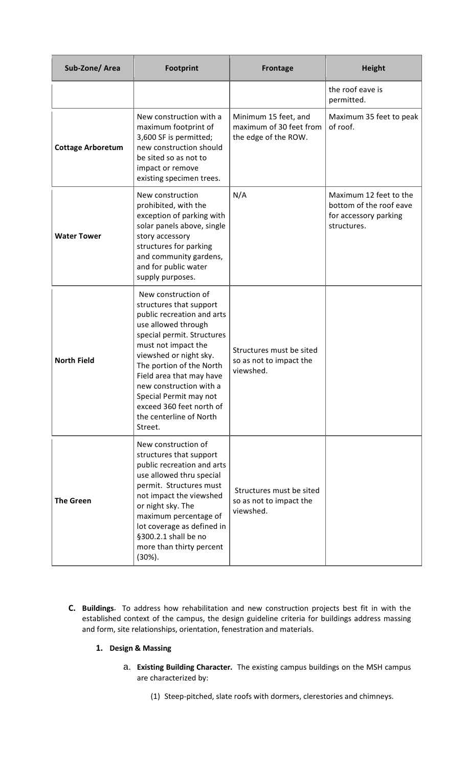| Sub-Zone/Area            | <b>Footprint</b>                                                                                                                                                                                                                                                                                                                                                  | <b>Frontage</b>                                                         | <b>Height</b>                                                                             |
|--------------------------|-------------------------------------------------------------------------------------------------------------------------------------------------------------------------------------------------------------------------------------------------------------------------------------------------------------------------------------------------------------------|-------------------------------------------------------------------------|-------------------------------------------------------------------------------------------|
|                          |                                                                                                                                                                                                                                                                                                                                                                   |                                                                         | the roof eave is<br>permitted.                                                            |
| <b>Cottage Arboretum</b> | New construction with a<br>maximum footprint of<br>3,600 SF is permitted;<br>new construction should<br>be sited so as not to<br>impact or remove<br>existing specimen trees.                                                                                                                                                                                     | Minimum 15 feet, and<br>maximum of 30 feet from<br>the edge of the ROW. | Maximum 35 feet to peak<br>of roof.                                                       |
| <b>Water Tower</b>       | New construction<br>prohibited, with the<br>exception of parking with<br>solar panels above, single<br>story accessory<br>structures for parking<br>and community gardens,<br>and for public water<br>supply purposes.                                                                                                                                            | N/A                                                                     | Maximum 12 feet to the<br>bottom of the roof eave<br>for accessory parking<br>structures. |
| <b>North Field</b>       | New construction of<br>structures that support<br>public recreation and arts<br>use allowed through<br>special permit. Structures<br>must not impact the<br>viewshed or night sky.<br>The portion of the North<br>Field area that may have<br>new construction with a<br>Special Permit may not<br>exceed 360 feet north of<br>the centerline of North<br>Street. | Structures must be sited<br>so as not to impact the<br>viewshed.        |                                                                                           |
| <b>The Green</b>         | New construction of<br>structures that support<br>public recreation and arts<br>use allowed thru special<br>permit. Structures must<br>not impact the viewshed<br>or night sky. The<br>maximum percentage of<br>lot coverage as defined in<br>§300.2.1 shall be no<br>more than thirty percent<br>$(30\%).$                                                       | Structures must be sited<br>so as not to impact the<br>viewshed.        |                                                                                           |

- **C. Buildings.** To address how rehabilitation and new construction projects best fit in with the established context of the campus, the design guideline criteria for buildings address massing and form, site relationships, orientation, fenestration and materials.
	- **1. Design & Massing**
		- a. **Existing Building Character.** The existing campus buildings on the MSH campus are characterized by:
			- (1) Steep-pitched, slate roofs with dormers, clerestories and chimneys.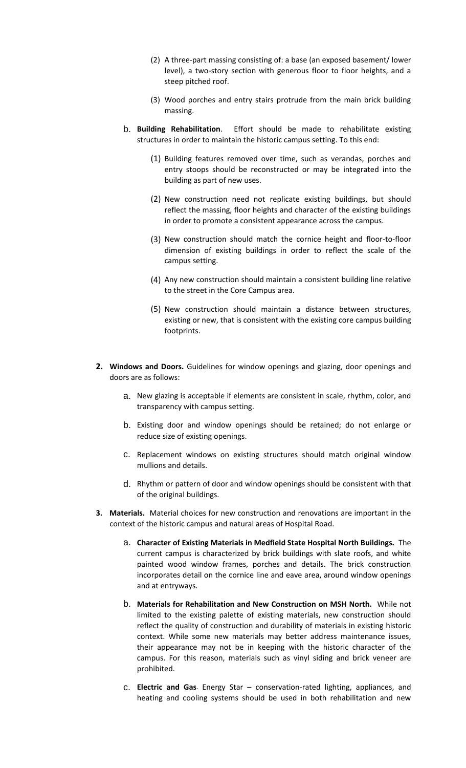- (2) A three-part massing consisting of: a base (an exposed basement/ lower level), a two-story section with generous floor to floor heights, and a steep pitched roof.
- (3) Wood porches and entry stairs protrude from the main brick building massing.
- b. **Building Rehabilitation**. Effort should be made to rehabilitate existing structures in order to maintain the historic campus setting. To this end:
	- (1) Building features removed over time, such as verandas, porches and entry stoops should be reconstructed or may be integrated into the building as part of new uses.
	- (2) New construction need not replicate existing buildings, but should reflect the massing, floor heights and character of the existing buildings in order to promote a consistent appearance across the campus.
	- (3) New construction should match the cornice height and floor-to-floor dimension of existing buildings in order to reflect the scale of the campus setting.
	- (4) Any new construction should maintain a consistent building line relative to the street in the Core Campus area.
	- (5) New construction should maintain a distance between structures, existing or new, that is consistent with the existing core campus building footprints.
- **2. Windows and Doors.** Guidelines for window openings and glazing, door openings and doors are as follows:
	- a. New glazing is acceptable if elements are consistent in scale, rhythm, color, and transparency with campus setting.
	- b. Existing door and window openings should be retained; do not enlarge or reduce size of existing openings.
	- c. Replacement windows on existing structures should match original window mullions and details.
	- d. Rhythm or pattern of door and window openings should be consistent with that of the original buildings.
- **3. Materials.** Material choices for new construction and renovations are important in the context of the historic campus and natural areas of Hospital Road.
	- a. **Character of Existing Materials in Medfield State Hospital North Buildings.** The current campus is characterized by brick buildings with slate roofs, and white painted wood window frames, porches and details. The brick construction incorporates detail on the cornice line and eave area, around window openings and at entryways.
	- b. **Materials for Rehabilitation and New Construction on MSH North.** While not limited to the existing palette of existing materials, new construction should reflect the quality of construction and durability of materials in existing historic context. While some new materials may better address maintenance issues, their appearance may not be in keeping with the historic character of the campus. For this reason, materials such as vinyl siding and brick veneer are prohibited.
	- c. **Electric and Gas**. Energy Star conservation-rated lighting, appliances, and heating and cooling systems should be used in both rehabilitation and new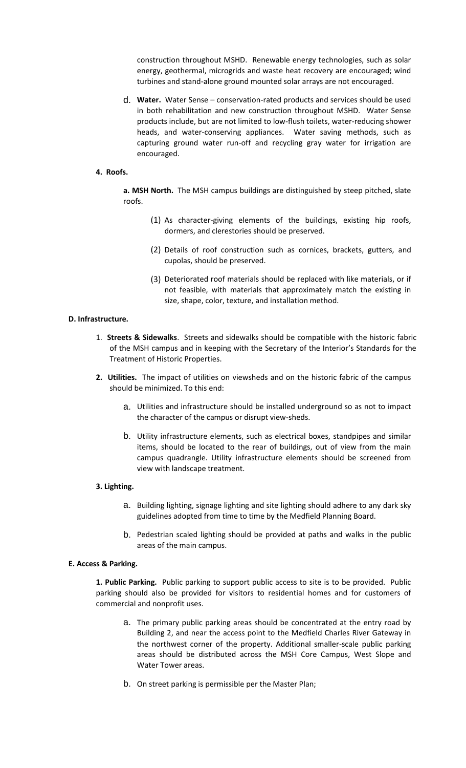construction throughout MSHD. Renewable energy technologies, such as solar energy, geothermal, microgrids and waste heat recovery are encouraged; wind turbines and stand-alone ground mounted solar arrays are not encouraged.

d. **Water.** Water Sense – conservation-rated products and services should be used in both rehabilitation and new construction throughout MSHD. Water Sense products include, but are not limited to low-flush toilets, water-reducing shower heads, and water-conserving appliances. Water saving methods, such as capturing ground water run-off and recycling gray water for irrigation are encouraged.

#### **4. Roofs.**

**a. MSH North.** The MSH campus buildings are distinguished by steep pitched, slate roofs.

- (1) As character-giving elements of the buildings, existing hip roofs, dormers, and clerestories should be preserved.
- (2) Details of roof construction such as cornices, brackets, gutters, and cupolas, should be preserved.
- (3) Deteriorated roof materials should be replaced with like materials, or if not feasible, with materials that approximately match the existing in size, shape, color, texture, and installation method.

#### **D. Infrastructure.**

- 1. **Streets & Sidewalks**. Streets and sidewalks should be compatible with the historic fabric of the MSH campus and in keeping with the Secretary of the Interior's Standards for the Treatment of Historic Properties.
- **2. Utilities.** The impact of utilities on viewsheds and on the historic fabric of the campus should be minimized. To this end:
	- a. Utilities and infrastructure should be installed underground so as not to impact the character of the campus or disrupt view-sheds.
	- b. Utility infrastructure elements, such as electrical boxes, standpipes and similar items, should be located to the rear of buildings, out of view from the main campus quadrangle. Utility infrastructure elements should be screened from view with landscape treatment.

#### **3. Lighting.**

- a. Building lighting, signage lighting and site lighting should adhere to any dark sky guidelines adopted from time to time by the Medfield Planning Board.
- b. Pedestrian scaled lighting should be provided at paths and walks in the public areas of the main campus.

#### **E. Access & Parking.**

**1. Public Parking.** Public parking to support public access to site is to be provided. Public parking should also be provided for visitors to residential homes and for customers of commercial and nonprofit uses.

- a. The primary public parking areas should be concentrated at the entry road by Building 2, and near the access point to the Medfield Charles River Gateway in the northwest corner of the property. Additional smaller-scale public parking areas should be distributed across the MSH Core Campus, West Slope and Water Tower areas.
- b. On street parking is permissible per the Master Plan;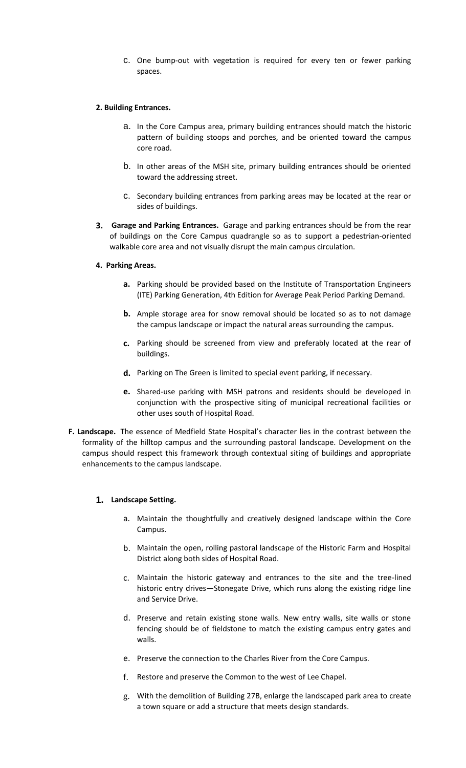c. One bump-out with vegetation is required for every ten or fewer parking spaces.

#### **2. Building Entrances.**

- a. In the Core Campus area, primary building entrances should match the historic pattern of building stoops and porches, and be oriented toward the campus core road.
- b. In other areas of the MSH site, primary building entrances should be oriented toward the addressing street.
- c. Secondary building entrances from parking areas may be located at the rear or sides of buildings.
- **3. Garage and Parking Entrances.** Garage and parking entrances should be from the rear of buildings on the Core Campus quadrangle so as to support a pedestrian-oriented walkable core area and not visually disrupt the main campus circulation.
- **4. Parking Areas.**
	- **a.** Parking should be provided based on the Institute of Transportation Engineers (ITE) Parking Generation, 4th Edition for Average Peak Period Parking Demand.
	- **b.** Ample storage area for snow removal should be located so as to not damage the campus landscape or impact the natural areas surrounding the campus.
	- **c.** Parking should be screened from view and preferably located at the rear of buildings.
	- **d.** Parking on The Green is limited to special event parking, if necessary.
	- **e.** Shared-use parking with MSH patrons and residents should be developed in conjunction with the prospective siting of municipal recreational facilities or other uses south of Hospital Road.
- **F. Landscape.** The essence of Medfield State Hospital's character lies in the contrast between the formality of the hilltop campus and the surrounding pastoral landscape. Development on the campus should respect this framework through contextual siting of buildings and appropriate enhancements to the campus landscape.

#### **1. Landscape Setting.**

- a. Maintain the thoughtfully and creatively designed landscape within the Core Campus.
- b. Maintain the open, rolling pastoral landscape of the Historic Farm and Hospital District along both sides of Hospital Road.
- c. Maintain the historic gateway and entrances to the site and the tree-lined historic entry drives—Stonegate Drive, which runs along the existing ridge line and Service Drive.
- d. Preserve and retain existing stone walls. New entry walls, site walls or stone fencing should be of fieldstone to match the existing campus entry gates and walls.
- e. Preserve the connection to the Charles River from the Core Campus.
- f. Restore and preserve the Common to the west of Lee Chapel.
- g. With the demolition of Building 27B, enlarge the landscaped park area to create a town square or add a structure that meets design standards.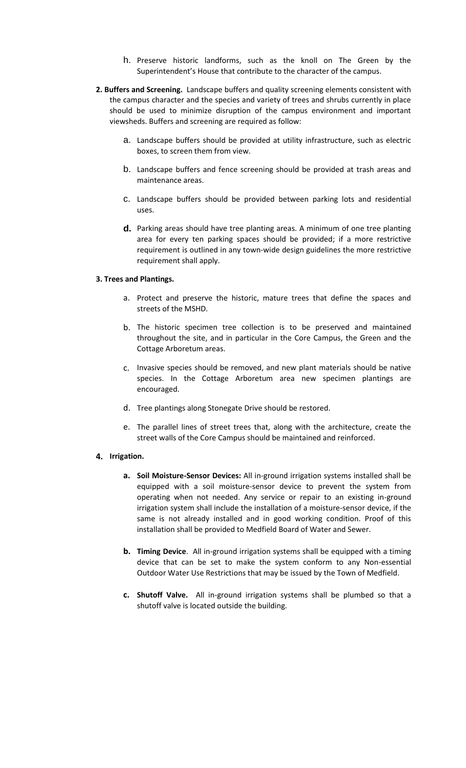- h. Preserve historic landforms, such as the knoll on The Green by the Superintendent's House that contribute to the character of the campus.
- **2. Buffers and Screening.** Landscape buffers and quality screening elements consistent with the campus character and the species and variety of trees and shrubs currently in place should be used to minimize disruption of the campus environment and important viewsheds. Buffers and screening are required as follow:
	- a. Landscape buffers should be provided at utility infrastructure, such as electric boxes, to screen them from view.
	- b. Landscape buffers and fence screening should be provided at trash areas and maintenance areas.
	- c. Landscape buffers should be provided between parking lots and residential uses.
	- **d.** Parking areas should have tree planting areas. A minimum of one tree planting area for every ten parking spaces should be provided; if a more restrictive requirement is outlined in any town-wide design guidelines the more restrictive requirement shall apply.

#### **3. Trees and Plantings.**

- a. Protect and preserve the historic, mature trees that define the spaces and streets of the MSHD.
- b. The historic specimen tree collection is to be preserved and maintained throughout the site, and in particular in the Core Campus, the Green and the Cottage Arboretum areas.
- c. Invasive species should be removed, and new plant materials should be native species. In the Cottage Arboretum area new specimen plantings are encouraged.
- d. Tree plantings along Stonegate Drive should be restored.
- e. The parallel lines of street trees that, along with the architecture, create the street walls of the Core Campus should be maintained and reinforced.

#### **4. Irrigation.**

- **a. Soil Moisture-Sensor Devices:** All in-ground irrigation systems installed shall be equipped with a soil moisture-sensor device to prevent the system from operating when not needed. Any service or repair to an existing in-ground irrigation system shall include the installation of a moisture-sensor device, if the same is not already installed and in good working condition. Proof of this installation shall be provided to Medfield Board of Water and Sewer.
- **b. Timing Device**. All in-ground irrigation systems shall be equipped with a timing device that can be set to make the system conform to any Non-essential Outdoor Water Use Restrictions that may be issued by the Town of Medfield.
- **c. Shutoff Valve.** All in-ground irrigation systems shall be plumbed so that a shutoff valve is located outside the building.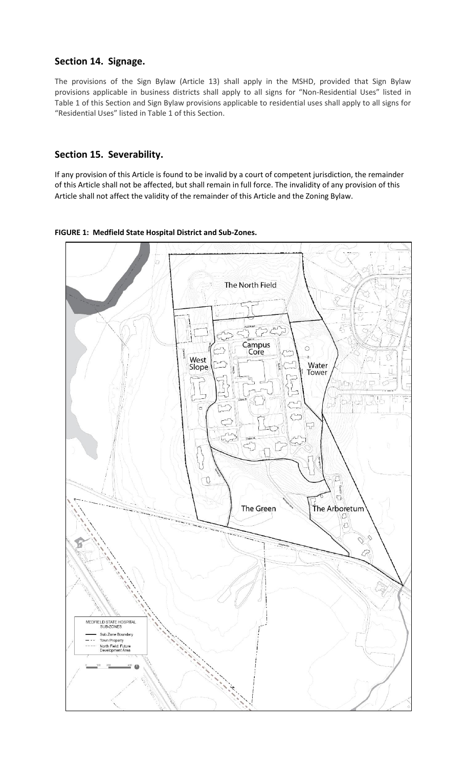# **Section 14. Signage.**

The provisions of the Sign Bylaw (Article 13) shall apply in the MSHD, provided that Sign Bylaw provisions applicable in business districts shall apply to all signs for "Non-Residential Uses" listed in Table 1 of this Section and Sign Bylaw provisions applicable to residential uses shall apply to all signs for "Residential Uses" listed in Table 1 of this Section.

# **Section 15. Severability.**

If any provision of this Article is found to be invalid by a court of competent jurisdiction, the remainder of this Article shall not be affected, but shall remain in full force. The invalidity of any provision of this Article shall not affect the validity of the remainder of this Article and the Zoning Bylaw.



**FIGURE 1: Medfield State Hospital District and Sub-Zones.**